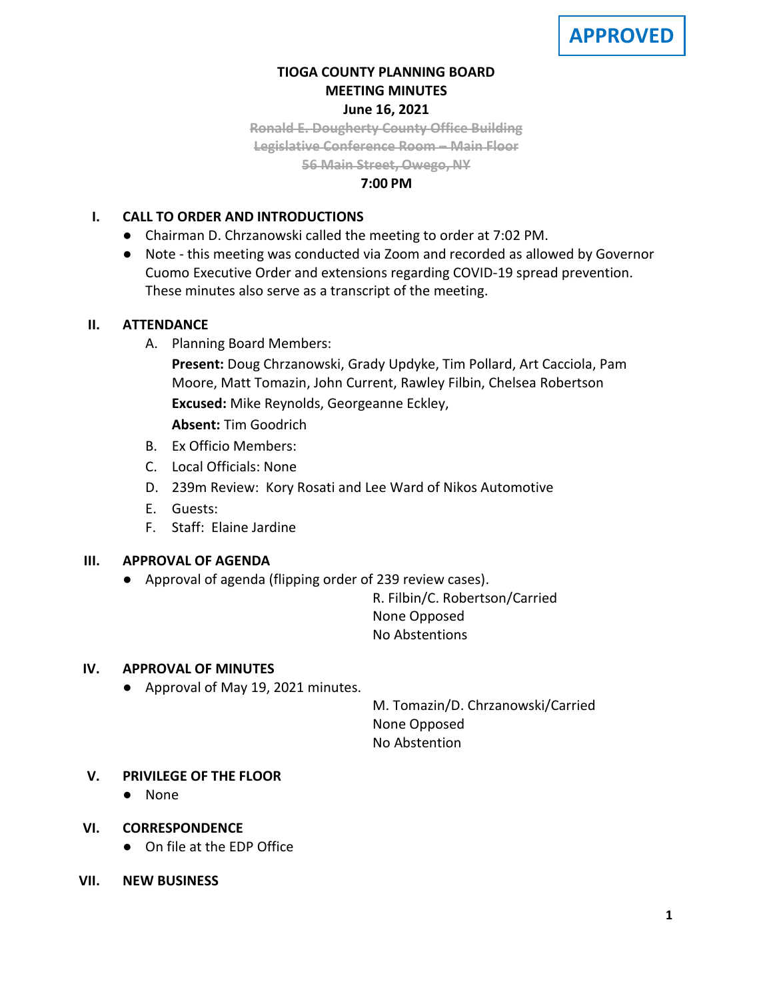

# **TIOGA COUNTY PLANNING BOARD MEETING MINUTES June 16, 2021**

**Ronald E. Dougherty County Office Building Legislative Conference Room – Main Floor 56 Main Street, Owego, NY**

### **7:00 PM**

## **I. CALL TO ORDER AND INTRODUCTIONS**

- Chairman D. Chrzanowski called the meeting to order at 7:02 PM.
- Note this meeting was conducted via Zoom and recorded as allowed by Governor Cuomo Executive Order and extensions regarding COVID-19 spread prevention. These minutes also serve as a transcript of the meeting.

## **II. ATTENDANCE**

A. Planning Board Members:

**Present:** Doug Chrzanowski, Grady Updyke, Tim Pollard, Art Cacciola, Pam Moore, Matt Tomazin, John Current, Rawley Filbin, Chelsea Robertson **Excused:** Mike Reynolds, Georgeanne Eckley,

**Absent:** Tim Goodrich

- B. Ex Officio Members:
- C. Local Officials: None
- D. 239m Review: Kory Rosati and Lee Ward of Nikos Automotive
- E. Guests:
- F. Staff: Elaine Jardine

## **III. APPROVAL OF AGENDA**

● Approval of agenda (flipping order of 239 review cases).

R. Filbin/C. Robertson/Carried None Opposed No Abstentions

## **IV. APPROVAL OF MINUTES**

● Approval of May 19, 2021 minutes.

M. Tomazin/D. Chrzanowski/Carried None Opposed No Abstention

## **V. PRIVILEGE OF THE FLOOR**

- None
- **VI. CORRESPONDENCE**
	- On file at the EDP Office
- **VII. NEW BUSINESS**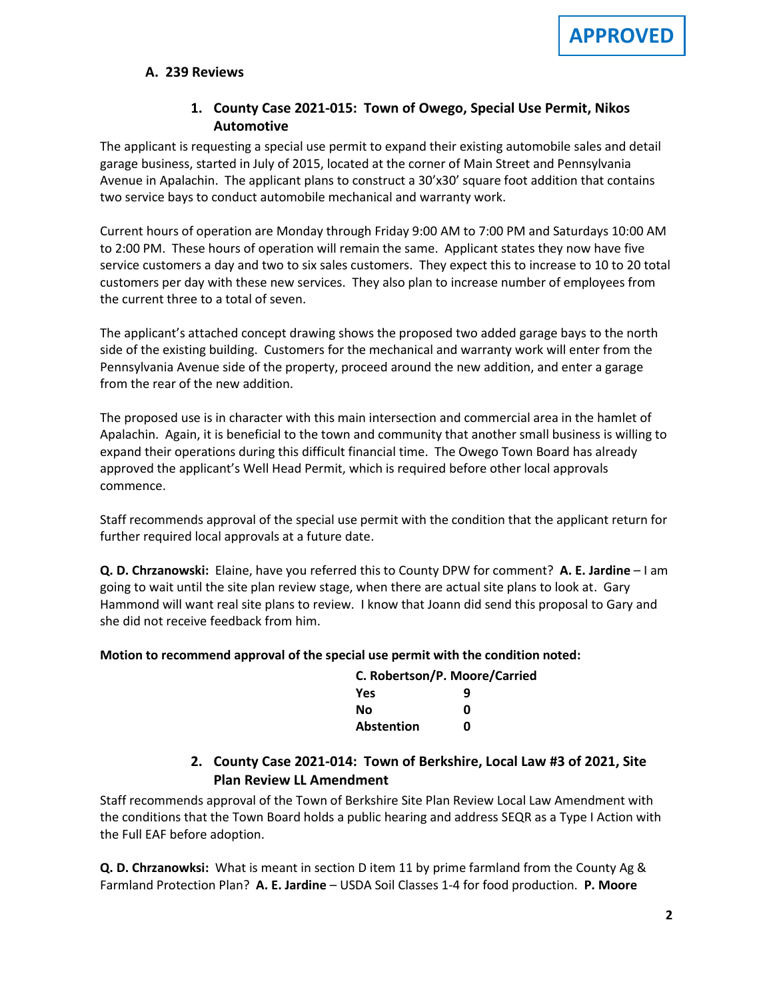### **A. A. 239 Reviews**

# **1. County Case 2021-015: Town of Owego, Special Use Permit, Nikos Automotive**

The applicant is requesting a special use permit to expand their existing automobile sales and detail garage business, started in July of 2015, located at the corner of Main Street and Pennsylvania Avenue in Apalachin. The applicant plans to construct a 30'x30' square foot addition that contains two service bays to conduct automobile mechanical and warranty work.

Current hours of operation are Monday through Friday 9:00 AM to 7:00 PM and Saturdays 10:00 AM to 2:00 PM. These hours of operation will remain the same. Applicant states they now have five service customers a day and two to six sales customers. They expect this to increase to 10 to 20 total customers per day with these new services. They also plan to increase number of employees from the current three to a total of seven.

The applicant's attached concept drawing shows the proposed two added garage bays to the north side of the existing building. Customers for the mechanical and warranty work will enter from the Pennsylvania Avenue side of the property, proceed around the new addition, and enter a garage from the rear of the new addition.

The proposed use is in character with this main intersection and commercial area in the hamlet of Apalachin. Again, it is beneficial to the town and community that another small business is willing to expand their operations during this difficult financial time. The Owego Town Board has already approved the applicant's Well Head Permit, which is required before other local approvals commence.

Staff recommends approval of the special use permit with the condition that the applicant return for further required local approvals at a future date.

**Q. D. Chrzanowski:** Elaine, have you referred this to County DPW for comment? **A. E. Jardine** – I am going to wait until the site plan review stage, when there are actual site plans to look at. Gary Hammond will want real site plans to review. I know that Joann did send this proposal to Gary and she did not receive feedback from him.

#### **Motion to recommend approval of the special use permit with the condition noted:**

| <b>C. Robertson/P. Moore/Carried</b> |   |  |
|--------------------------------------|---|--|
| Yes                                  | q |  |
| Νo                                   | ŋ |  |
| Abstention                           | n |  |

# **2. County Case 2021-014: Town of Berkshire, Local Law #3 of 2021, Site Plan Review LL Amendment**

Staff recommends approval of the Town of Berkshire Site Plan Review Local Law Amendment with the conditions that the Town Board holds a public hearing and address SEQR as a Type I Action with the Full EAF before adoption.

**Q. D. Chrzanowksi:** What is meant in section D item 11 by prime farmland from the County Ag & Farmland Protection Plan? **A. E. Jardine** – USDA Soil Classes 1-4 for food production. **P. Moore**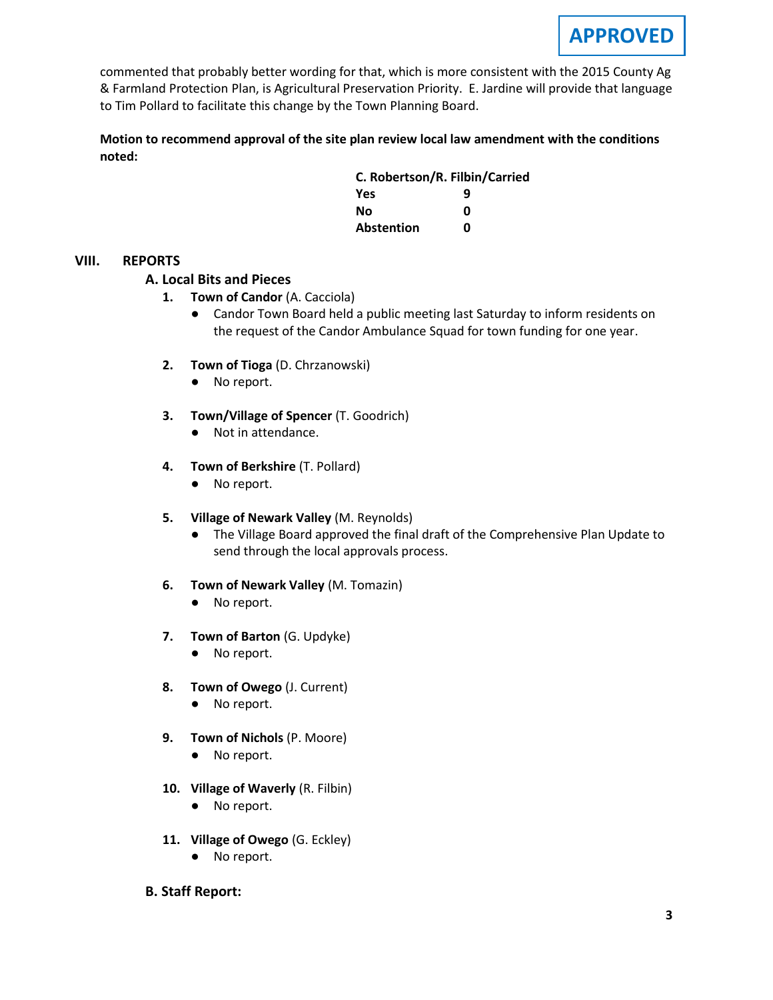commented that probably better wording for that, which is more consistent with the 2015 County Ag & Farmland Protection Plan, is Agricultural Preservation Priority. E. Jardine will provide that language to Tim Pollard to facilitate this change by the Town Planning Board.

**Motion to recommend approval of the site plan review local law amendment with the conditions noted:**

| C. Robertson/R. Filbin/Carried |   |
|--------------------------------|---|
| <b>Yes</b>                     | q |
| Nο                             | n |
| Abstention                     | n |

### **VIII. REPORTS**

### **A. A. Local Bits and Pieces**

- **1. Town of Candor** (A. Cacciola)
	- Candor Town Board held a public meeting last Saturday to inform residents on the request of the Candor Ambulance Squad for town funding for one year.
- **2. Town of Tioga** (D. Chrzanowski)
	- No report.
- **3. Town/Village of Spencer** (T. Goodrich)
	- Not in attendance.
- **4. Town of Berkshire** (T. Pollard)
	- No report.
- **5. Village of Newark Valley** (M. Reynolds)
	- The Village Board approved the final draft of the Comprehensive Plan Update to send through the local approvals process.
- **6. Town of Newark Valley** (M. Tomazin)
	- No report.
- **7. Town of Barton** (G. Updyke)
	- No report.
- **8. Town of Owego** (J. Current)
	- No report.
- **9. Town of Nichols** (P. Moore)
	- No report.
- **10. Village of Waverly** (R. Filbin)
	- No report.
- **11. Village of Owego** (G. Eckley)
	- No report.
- **B. Staff Report:**